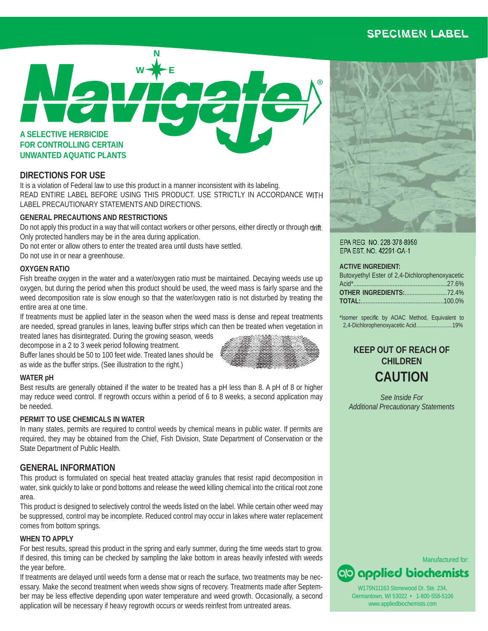# SPECIMEN LABEL



# **DIRECTIONS FOR USE**

It is a violation of Federal law to use this product in a manner inconsistent with its labeling. READ ENTIRE LABEL BEFORE USING THIS PRODUCT. USE STRICTLY IN ACCORDANCE WITH LABEL PRECAUTIONARY STATEMENTS AND DIRECTIONS.

# **GENERAL PRECAUTIONS AND RESTRICTIONS**

Do not apply this product in a way that will contact workers or other persons, either directly or through drift. Only protected handlers may be in the area during application.

Do not enter or allow others to enter the treated area until dusts have settled.

Do not use in or near a greenhouse.

# **OXYGEN RATIO**

Fish breathe oxygen in the water and a water/oxygen ratio must be maintained. Decaying weeds use up oxygen, but during the period when this product should be used, the weed mass is fairly sparse and the weed decomposition rate is slow enough so that the water/oxygen ratio is not disturbed by treating the entire area at one time.

If treatments must be applied later in the season when the weed mass is dense and repeat treatments are needed, spread granules in lanes, leaving buffer strips which can then be treated when vegetation in

treated lanes has disintegrated. During the growing season, weeds decompose in a 2 to 3 week period following treatment.

Buffer lanes should be 50 to 100 feet wide. Treated lanes should be as wide as the buffer strips. (See illustration to the right.)



# **WATER pH**

Best results are generally obtained if the water to be treated has a pH less than 8. A pH of 8 or higher may reduce weed control. If regrowth occurs within a period of 6 to 8 weeks, a second application may be needed.

# **PERMIT TO USE CHEMICALS IN WATER**

In many states, permits are required to control weeds by chemical means in public water. If permits are required, they may be obtained from the Chief, Fish Division, State Department of Conservation or the State Department of Public Health.

# **GENERAL INFORMATION**

This product is formulated on special heat treated attaclay granules that resist rapid decomposition in water, sink quickly to lake or pond bottoms and release the weed killing chemical into the critical root zone area.

This product is designed to selectively control the weeds listed on the label. While certain other weed may be suppressed, control may be incomplete. Reduced control may occur in lakes where water replacement comes from bottom springs.

# **WHEN TO APPLY**

For best results, spread this product in the spring and early summer, during the time weeds start to grow. If desired, this timing can be checked by sampling the lake bottom in areas heavily infested with weeds the year before.

If treatments are delayed until weeds form a dense mat or reach the surface, two treatments may be necessary. Make the second treatment when weeds show signs of recovery. Treatments made after September may be less effective depending upon water temperature and weed growth. Occasionally, a second application will be necessary if heavy regrowth occurs or weeds reinfest from untreated areas.



#### EPA REG. NO. 228-378-8959 EPA EST. NO. 42291-GA-1

#### **ACTIVE INGREDIENT:**

| Butoxyethyl Ester of 2,4-Dichlorophenoxyacetic |  |
|------------------------------------------------|--|
|                                                |  |
|                                                |  |
| <b>TOTAL:</b> $100.0\%$                        |  |

\*Isomer specific by AOAC Method, Equivalent to 2,4-Dichlorophenoxyacetic Acid.........................19%

# **KEEP OUT OF REACH OF CHILDREN CAUTION**

*See Inside For Additional Precautionary Statements*

Manufactured for: 60 applied biochemists

W175N11163 Stonewood Dr. Ste. 234, Germantown, WI 53022 • 1-800-558-5106 www.appliedbiochemists.com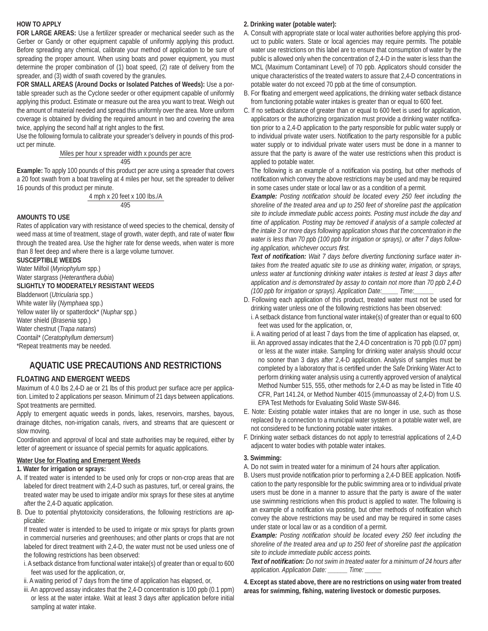# **HOW TO APPLY**

**FOR LARGE AREAS:** Use a fertilizer spreader or mechanical seeder such as the Gerber or Gandy or other equipment capable of uniformly applying this product. Before spreading any chemical, calibrate your method of application to be sure of spreading the proper amount. When using boats and power equipment, you must determine the proper combination of (1) boat speed, (2) rate of delivery from the spreader, and (3) width of swath covered by the granules.

**FOR SMALL AREAS (Around Docks or Isolated Patches of Weeds):** Use a portable spreader such as the Cyclone seeder or other equipment capable of uniformly applying this product. Estimate or measure out the area you want to treat. Weigh out the amount of material needed and spread this uniformly over the area. More uniform coverage is obtained by dividing the required amount in two and covering the area twice, applying the second half at right angles to the first.

Use the following formula to calibrate your spreader's delivery in pounds of this product per minute.

Miles per hour x spreader width x pounds per acre

495

**Example:** To apply 100 pounds of this product per acre using a spreader that covers a 20 foot swath from a boat traveling at 4 miles per hour, set the spreader to deliver 16 pounds of this product per minute.

$$
\frac{4 \text{ mph} \times 20 \text{ feet} \times 100 \text{ lbs.}/A}{495}
$$

# **AMOUNTS TO USE**

Rates of application vary with resistance of weed species to the chemical, density of weed mass at time of treatment, stage of growth, water depth, and rate of water flow through the treated area. Use the higher rate for dense weeds, when water is more than 8 feet deep and where there is a large volume turnover.

#### **SUSCEPTIBLE WEEDS**

Water Milfoil (*Myriophylum* spp.)

Water stargrass (*Heteranthera dubia*)

**SLIGHTLY TO MODERATELY RESISTANT WEEDS**

Bladderwort (*Utricularia* spp.) White water lily (*Nymphaea* spp.) Yellow water lily or spatterdock\* (*Nuphar* spp.) Water shield (*Brasenia* spp.) Water chestnut (*Trapa natans*) Coontail\* (*Ceratophyllum demersum*) \*Repeat treatments may be needed.

# **AQUATIC USE PRECAUTIONS AND RESTRICTIONS**

# **FLOATING AND EMERGENT WEEDS**

Maximum of 4.0 lbs 2,4-D ae or 21 lbs of this product per surface acre per application. Limited to 2 applications per season. Minimum of 21 days between applications. Spot treatments are permitted.

Apply to emergent aquatic weeds in ponds, lakes, reservoirs, marshes, bayous, drainage ditches, non-irrigation canals, rivers, and streams that are quiescent or slow moving.

Coordination and approval of local and state authorities may be required, either by letter of agreement or issuance of special permits for aquatic applications.

# **Water Use for Floating and Emergent Weeds**

**1. Water for irrigation or sprays:**

- A. If treated water is intended to be used only for crops or non-crop areas that are labeled for direct treatment with 2,4-D such as pastures, turf, or cereal grains, the treated water may be used to irrigate and/or mix sprays for these sites at anytime after the 2,4-D aquatic application.
- B. Due to potential phytotoxicity considerations, the following restrictions are applicable:

If treated water is intended to be used to irrigate or mix sprays for plants grown in commercial nurseries and greenhouses; and other plants or crops that are not labeled for direct treatment with 2,4-D, the water must not be used unless one of the following restrictions has been observed:

- i. A setback distance from functional water intake(s) of greater than or equal to 600 feet was used for the application, or,
- ii. A waiting period of 7 days from the time of application has elapsed, or,
- iii. An approved assay indicates that the 2,4-D concentration is 100 ppb (0.1 ppm) or less at the water intake. Wait at least 3 days after application before initial sampling at water intake.

# **2. Drinking water (potable water):**

- A. Consult with appropriate state or local water authorities before applying this product to public waters. State or local agencies may require permits. The potable water use restrictions on this label are to ensure that consumption of water by the public is allowed only when the concentration of 2,4-D in the water is less than the MCL (Maximum Contaminant Level) of 70 ppb. Applicators should consider the unique characteristics of the treated waters to assure that 2,4-D concentrations in potable water do not exceed 70 ppb at the time of consumption.
- B. For floating and emergent weed applications, the drinking water setback distance from functioning potable water intakes is greater than or equal to 600 feet.
- C. If no setback distance of greater than or equal to 600 feet is used for application, applicators or the authorizing organization must provide a drinking water notification prior to a 2,4-D application to the party responsible for public water supply or to individual private water users. Notification to the party responsible for a public water supply or to individual private water users must be done in a manner to assure that the party is aware of the water use restrictions when this product is applied to potable water.

The following is an example of a notification via posting, but other methods of notification which convey the above restrictions may be used and may be required in some cases under state or local law or as a condition of a permit.

**Example:** Posting notification should be located every 250 feet including the *shoreline of the treated area and up to 250 feet of shoreline past the application site to include immediate public access points. Posting must include the day and time of application. Posting may be removed if analysis of a sample collected at the intake 3 or more days following application shows that the concentration in the water is less than 70 ppb (100 ppb for irrigation or sprays), or after 7 days following application, whichever occurs first.* 

Text of notification: Wait 7 days before diverting functioning surface water in*takes from the treated aquatic site to use as drinking water, irrigation, or sprays, unless water at functioning drinking water intakes is tested at least 3 days after application and is demonstrated by assay to contain not more than 70 ppb 2,4-D (100 ppb for irrigation or sprays). Application Date:\_\_\_\_\_ Time:\_\_\_\_\_\_*

- D. Following each application of this product, treated water must not be used for drinking water unless one of the following restrictions has been observed:
	- i. A setback distance from functional water intake(s) of greater than or equal to 600 feet was used for the application, or,
	- ii. A waiting period of at least 7 days from the time of application has elapsed, or,
- iii. An approved assay indicates that the 2,4-D concentration is 70 ppb (0.07 ppm) or less at the water intake. Sampling for drinking water analysis should occur no sooner than 3 days after 2,4-D application. Analysis of samples must be completed by a laboratory that is certified under the Safe Drinking Water Act to perform drinking water analysis using a currently approved version of analytical Method Number 515, 555, other methods for 2,4-D as may be listed in Title 40 CFR, Part 141.24, or Method Number 4015 (immunoassay of 2,4-D) from U.S. EPA Test Methods for Evaluating Solid Waste SW-846.
- E. Note: Existing potable water intakes that are no longer in use, such as those replaced by a connection to a municipal water system or a potable water well, are not considered to be functioning potable water intakes.
- F. Drinking water setback distances do not apply to terrestrial applications of 2,4-D adjacent to water bodies with potable water intakes.

# **3. Swimming:**

- A. Do not swim in treated water for a minimum of 24 hours after application.
- B. Users must provide notification prior to performing a 2,4-D BEE application. Notification to the party responsible for the public swimming area or to individual private users must be done in a manner to assure that the party is aware of the water use swimming restrictions when this product is applied to water. The following is an example of a notification via posting, but other methods of notification which convey the above restrictions may be used and may be required in some cases under state or local law or as a condition of a permit.

**Example:** Posting notification should be located every 250 feet including the *shoreline of the treated area and up to 250 feet of shoreline past the application site to include immediate public access points.*

*Text of notifi cation: Do not swim in treated water for a minimum of 24 hours after application. Application Date: \_\_\_\_\_\_ Time: \_\_\_\_\_*

**4. Except as stated above, there are no restrictions on using water from treated areas for swimming, fi shing, watering livestock or domestic purposes.**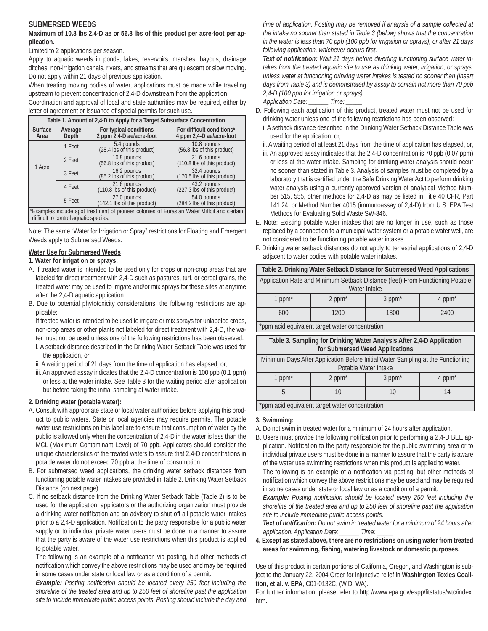# **SUBMERSED WEEDS**

#### **Maximum of 10.8 lbs 2,4-D ae or 56.8 lbs of this product per acre-foot per application.**

Limited to 2 applications per season.

Apply to aquatic weeds in ponds, lakes, reservoirs, marshes, bayous, drainage ditches, non-irrigation canals, rivers, and streams that are quiescent or slow moving. Do not apply within 21 days of previous application.

When treating moving bodies of water, applications must be made while traveling upstream to prevent concentration of 2,4-D downstream from the application.

Coordination and approval of local and state authorities may be required, either by letter of agreement or issuance of special permits for such use.

| Table 1. Amount of 2,4-D to Apply for a Target Subsurface Concentration                                                             |                  |                                                                                         |                                                       |  |  |  |
|-------------------------------------------------------------------------------------------------------------------------------------|------------------|-----------------------------------------------------------------------------------------|-------------------------------------------------------|--|--|--|
| <b>Surface</b><br>Area                                                                                                              | Average<br>Depth | For typical conditions<br>2 ppm 2,4-D ae/acre-foot                                      | For difficult conditions*<br>4 ppm 2,4-D ae/acre-foot |  |  |  |
| 1 Acre                                                                                                                              | 1 Foot           | 5.4 pounds<br>(28.4 lbs of this product)                                                | 10.8 pounds<br>(56.8 lbs of this product)             |  |  |  |
|                                                                                                                                     | 2 Feet           | 10.8 pounds<br>(56.8 lbs of this product)<br>21.6 pounds<br>(110.8 lbs of this product) |                                                       |  |  |  |
|                                                                                                                                     | 3 Feet           | 16.2 pounds<br>(85.2 lbs of this product)                                               | 32.4 pounds<br>(170.5 lbs of this product)            |  |  |  |
|                                                                                                                                     | 4 Feet           | 21.6 pounds<br>(110.8 lbs of this product)                                              | 43.2 pounds<br>(227.3 lbs of this product)            |  |  |  |
|                                                                                                                                     | 5 Feet           | 27.0 pounds<br>(142.1 lbs of this product)                                              | 54.0 pounds<br>(284.2 lbs of this product)            |  |  |  |
| *Examples include spot treatment of pioneer colonies of Eurasian Water Milfoil and certain<br>difficult to control aquatic species. |                  |                                                                                         |                                                       |  |  |  |

Note: The same "Water for Irrigation or Spray" restrictions for Floating and Emergent Weeds apply to Submersed Weeds.

#### **Water Use for Submersed Weeds**

#### **1. Water for irrigation or sprays:**

- A. If treated water is intended to be used only for crops or non-crop areas that are labeled for direct treatment with 2,4-D such as pastures, turf, or cereal grains, the treated water may be used to irrigate and/or mix sprays for these sites at anytime after the 2,4-D aquatic application.
- B. Due to potential phytotoxicity considerations, the following restrictions are applicable:

If treated water is intended to be used to irrigate or mix sprays for unlabeled crops, non-crop areas or other plants not labeled for direct treatment with 2,4-D, the water must not be used unless one of the following restrictions has been observed:

- i. A setback distance described in the Drinking Water Setback Table was used for the application, or,
- ii. A waiting period of 21 days from the time of application has elapsed, or,
- iii. An approved assay indicates that the 2,4-D concentration is 100 ppb (0.1 ppm) or less at the water intake. See Table 3 for the waiting period after application but before taking the initial sampling at water intake.

#### **2. Drinking water (potable water):**

- A. Consult with appropriate state or local water authorities before applying this product to public waters. State or local agencies may require permits. The potable water use restrictions on this label are to ensure that consumption of water by the public is allowed only when the concentration of 2,4-D in the water is less than the MCL (Maximum Contaminant Level) of 70 ppb. Applicators should consider the unique characteristics of the treated waters to assure that 2,4-D concentrations in potable water do not exceed 70 ppb at the time of consumption.
- B. For submersed weed applications, the drinking water setback distances from functioning potable water intakes are provided in Table 2. Drinking Water Setback Distance (on next page).
- C. If no setback distance from the Drinking Water Setback Table (Table 2) is to be used for the application, applicators or the authorizing organization must provide a drinking water notification and an advisory to shut off all potable water intakes prior to a 2,4-D application. Notification to the party responsible for a public water supply or to individual private water users must be done in a manner to assure that the party is aware of the water use restrictions when this product is applied to potable water.

The following is an example of a notification via posting, but other methods of notification which convey the above restrictions may be used and may be required in some cases under state or local law or as a condition of a permit.

*Example: Posting notification should be located every 250 feet including the shoreline of the treated area and up to 250 feet of shoreline past the application site to include immediate public access points. Posting should include the day and*  *time of application. Posting may be removed if analysis of a sample collected at the intake no sooner than stated in Table 3 (below) shows that the concentration in the water is less than 70 ppb (100 ppb for irrigation or sprays), or after 21 days following application, whichever occurs first.* 

Text of notification: Wait 21 days before diverting functioning surface water in*takes from the treated aquatic site to use as drinking water, irrigation, or sprays, unless water at functioning drinking water intakes is tested no sooner than (insert days from Table 3) and is demonstrated by assay to contain not more than 70 ppb 2,4-D (100 ppb for irrigation or sprays).* 

*Application Date: \_\_\_\_\_\_ Time: \_\_\_\_\_*

- D. Following each application of this product, treated water must not be used for drinking water unless one of the following restrictions has been observed:
	- i. A setback distance described in the Drinking Water Setback Distance Table was used for the application, or,
	- ii. A waiting period of at least 21 days from the time of application has elapsed, or,
	- iii. An approved assay indicates that the 2,4-D concentration is 70 ppb (0.07 ppm) or less at the water intake. Sampling for drinking water analysis should occur no sooner than stated in Table 3. Analysis of samples must be completed by a laboratory that is certified under the Safe Drinking Water Act to perform drinking water analysis using a currently approved version of analytical Method Number 515, 555, other methods for 2,4-D as may be listed in Title 40 CFR, Part 141.24, or Method Number 4015 (immunoassay of 2,4-D) from U.S. EPA Test Methods for Evaluating Solid Waste SW-846.
- E. Note: Existing potable water intakes that are no longer in use, such as those replaced by a connection to a municipal water system or a potable water well, are not considered to be functioning potable water intakes.
- F. Drinking water setback distances do not apply to terrestrial applications of 2,4-D adjacent to water bodies with potable water intakes.

| Table 2. Drinking Water Setback Distance for Submersed Weed Applications                      |                    |                    |                    |  |  |
|-----------------------------------------------------------------------------------------------|--------------------|--------------------|--------------------|--|--|
| Application Rate and Minimum Setback Distance (feet) From Functioning Potable<br>Water Intake |                    |                    |                    |  |  |
| 1 ppm $*$                                                                                     | 2 ppm <sup>*</sup> | 3 ppm <sup>*</sup> | 4 ppm <sup>*</sup> |  |  |
| 600                                                                                           | 1200               | 1800               | 2400               |  |  |
| *ppm acid equivalent target water concentration                                               |                    |                    |                    |  |  |

**Table 3. Sampling for Drinking Water Analysis After 2,4-D Application for Submersed Weed Applications**

Minimum Days After Application Before Initial Water Sampling at the Functioning Potable Water Intake

| T Uldivity Walter Hillant                       |                    |                    |                    |  |  |
|-------------------------------------------------|--------------------|--------------------|--------------------|--|--|
| $ppm^*$                                         | 2 ppm <sup>*</sup> | 3 ppm <sup>*</sup> | 4 ppm <sup>*</sup> |  |  |
|                                                 |                    |                    |                    |  |  |
| *ppm acid equivalent target water concentration |                    |                    |                    |  |  |

**3. Swimming:**

- A. Do not swim in treated water for a minimum of 24 hours after application.
- B. Users must provide the following notification prior to performing a 2,4-D BEE application. Notification to the party responsible for the public swimming area or to individual private users must be done in a manner to assure that the party is aware of the water use swimming restrictions when this product is applied to water.

The following is an example of a notification via posting, but other methods of notification which convey the above restrictions may be used and may be required in some cases under state or local law or as a condition of a permit.

*Example: Posting notification should be located every 250 feet including the shoreline of the treated area and up to 250 feet of shoreline past the application site to include immediate public access points.*

*Text of notifi cation: Do not swim in treated water for a minimum of 24 hours after application. Application Date: \_\_\_\_\_\_ Time: \_\_\_\_\_*

**4. Except as stated above, there are no restrictions on using water from treated areas for swimming, fi shing, watering livestock or domestic purposes.**

Use of this product in certain portions of California, Oregon, and Washington is subject to the January 22, 2004 Order for injunctive relief in **Washington Toxics Coalition, et al. v. EPA**, C01-0132C, (W.D. WA).

For further information, please refer to http://www.epa.gov/espp/litstatus/wtc/index. htm**.**